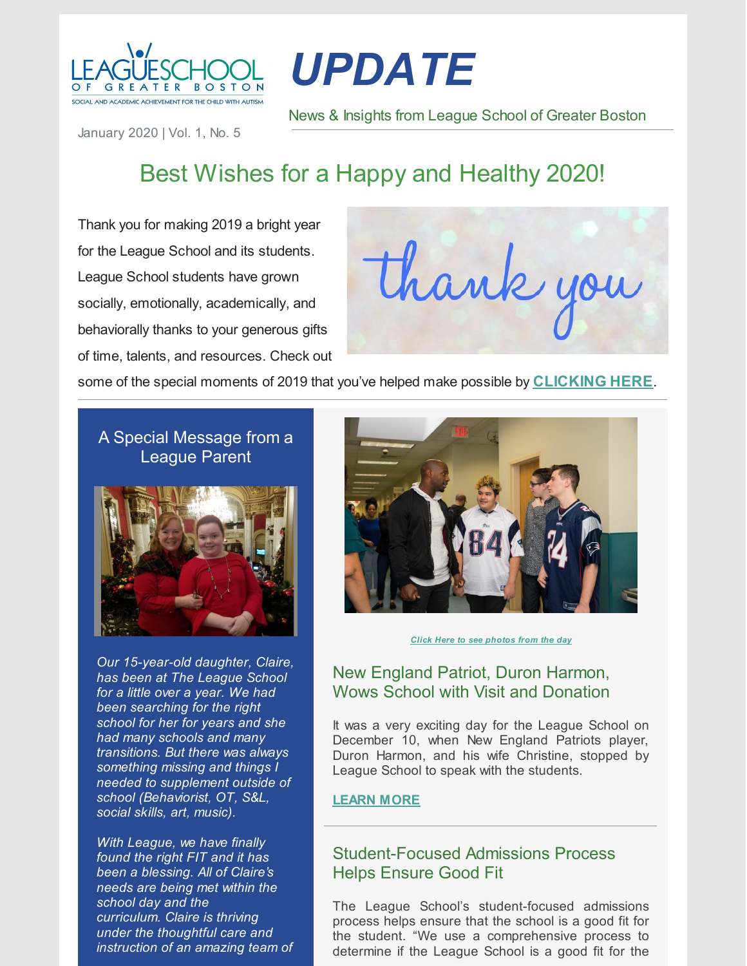

# *UPDATE*

News & Insights from League School of Greater Boston

January 2020 | Vol. 1, No. 5

# Best Wishes for a Happy and Healthy 2020!

Thank you for making 2019 a bright year for the League School and its students. League School students have grown socially, emotionally, academically, and behaviorally thanks to your generous gifts of time, talents, and resources. Check out

thank you

some of the special moments of 2019 that you've helped make possible by **[CLICKING](https://link.shutterfly.com/vIsstRQc22) HERE**.

# A Special Message from a League Parent



*Our 15-year-old daughter, Claire, has been at The League School for a little over a year. We had been searching for the right school for her for years and she had many schools and many transitions. But there was always something missing and things I needed to supplement outside of school (Behaviorist, OT, S&L, social skills, art, music).*

*With League, we have finally found the right FIT and it has been a blessing. All of Claire's needs are being met within the school day and the curriculum. Claire is thriving under the thoughtful care and instruction of an amazing team of*



*Click Here to see [photos](https://link.shutterfly.com/ynPOI6zRm2) from the day*

### New England Patriot, Duron Harmon, Wows School with Visit and Donation

It was a very exciting day for the League School on December 10, when New England Patriots player, Duron Harmon, and his wife Christine, stopped by League School to speak with the students.

#### **[LEARN](https://leagueschool.org/new-england-patriot-duron-harmon-visits-league-school-and-supports-our-mission/) MORE**

# Student-Focused Admissions Process Helps Ensure Good Fit

The League School's student-focused admissions process helps ensure that the school is a good fit for the student. "We use a comprehensive process to determine if the League School is a good fit for the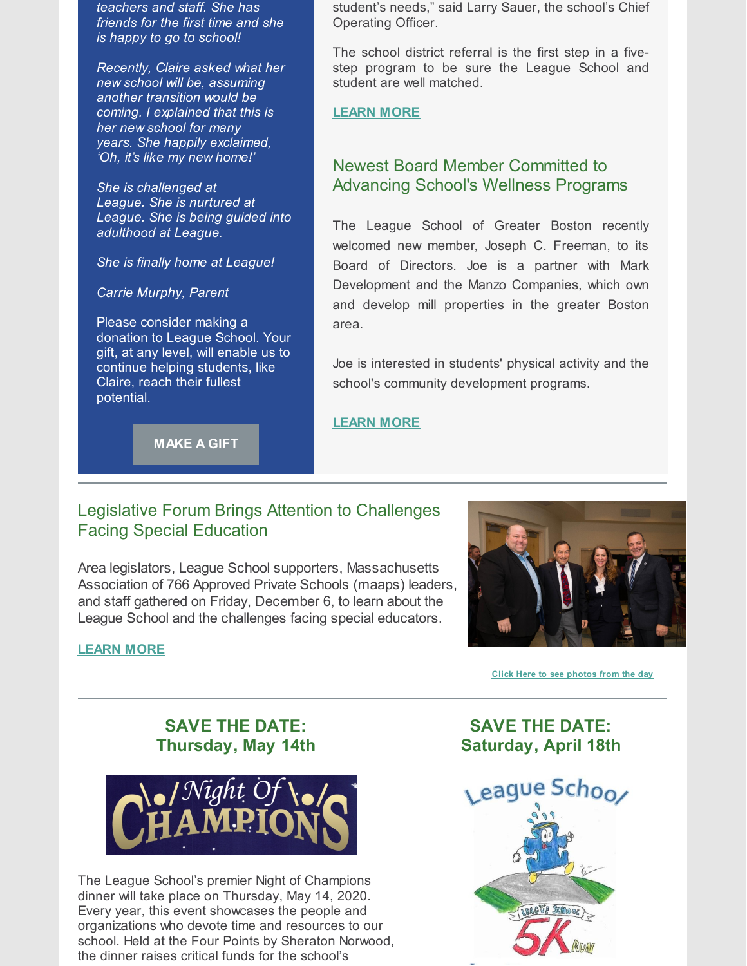*teachers and staff. She has friends for the first time and she is happy to go to school!*

*Recently, Claire asked what her new school will be, assuming another transition would be coming. I explained that this is her new school for many years. She happily exclaimed, 'Oh, it's like my new home!'*

*She is challenged at League. She is nurtured at League. She is being guided into adulthood at League.*

*She is finally home at League!*

*Carrie Murphy, Parent*

Please consider making a donation to League School. Your gift, at any level, will enable us to continue helping students, like Claire, reach their fullest potential.

**[MAKE](https://secure.qgiv.com/for/vy46vs/) A GIFT**

#### student's needs," said Larry Sauer, the school's Chief Operating Officer.

The school district referral is the first step in a fivestep program to be sure the League School and student are well matched.

#### **[LEARN](https://leagueschool.org/league-schools-student-focused-admissions-process-helps-ensure-good-fit/) MORE**

# Newest Board Member Committed to Advancing School's Wellness Programs

The League School of Greater Boston recently welcomed new member, Joseph C. Freeman, to its Board of Directors. Joe is a partner with Mark Development and the Manzo Companies, which own and develop mill properties in the greater Boston area.

Joe is interested in students' physical activity and the school's community development programs.

#### **[LEARN](https://leagueschool.org/newest-board-member-committed-to-advancing-schools-wellness-programs/) MORE**

# Legislative Forum Brings Attention to Challenges Facing Special Education

Area legislators, League School supporters, Massachusetts Association of 766 Approved Private Schools (maaps) leaders, and staff gathered on Friday, December 6, to learn about the League School and the challenges facing special educators.

#### **[LEARN](https://leagueschool.org/legislative-forum-brings-attention-to-challenges-facing-special-education/) MORE**



**Click Here to see [photos](https://link.shutterfly.com/tpZ2mpqPz2) from the day**

# **SAVE THE DATE: Thursday, May 14th**



The League School's premier Night of Champions dinner will take place on Thursday, May 14, 2020. Every year, this event showcases the people and organizations who devote time and resources to our school. Held at the Four Points by Sheraton Norwood, the dinner raises critical funds for the school's

**SAVE THE DATE: Saturday, April 18th**